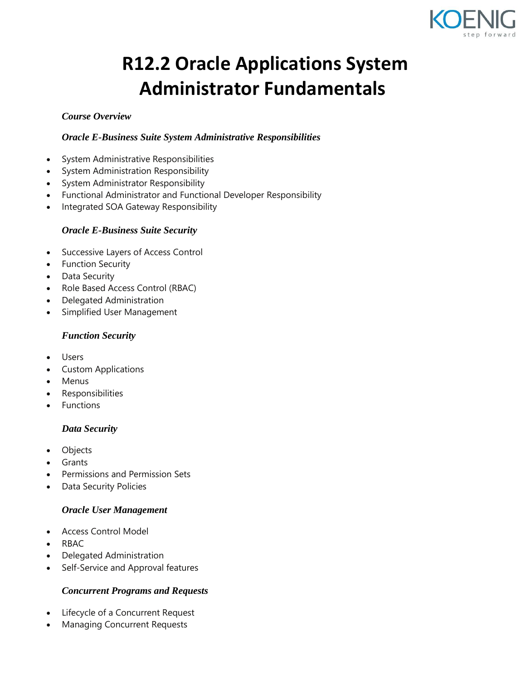

# **R12.2 Oracle Applications System Administrator Fundamentals**

# *Course Overview*

# *Oracle E-Business Suite System Administrative Responsibilities*

- System Administrative Responsibilities
- System Administration Responsibility
- System Administrator Responsibility
- Functional Administrator and Functional Developer Responsibility
- Integrated SOA Gateway Responsibility

## *Oracle E-Business Suite Security*

- Successive Layers of Access Control
- Function Security
- Data Security
- Role Based Access Control (RBAC)
- Delegated Administration
- Simplified User Management

## *Function Security*

- Users
- Custom Applications
- Menus
- Responsibilities
- Functions

# *Data Security*

- Objects
- Grants
- Permissions and Permission Sets
- Data Security Policies

## *Oracle User Management*

- Access Control Model
- RBAC
- Delegated Administration
- Self-Service and Approval features

# *Concurrent Programs and Requests*

- Lifecycle of a Concurrent Request
- Managing Concurrent Requests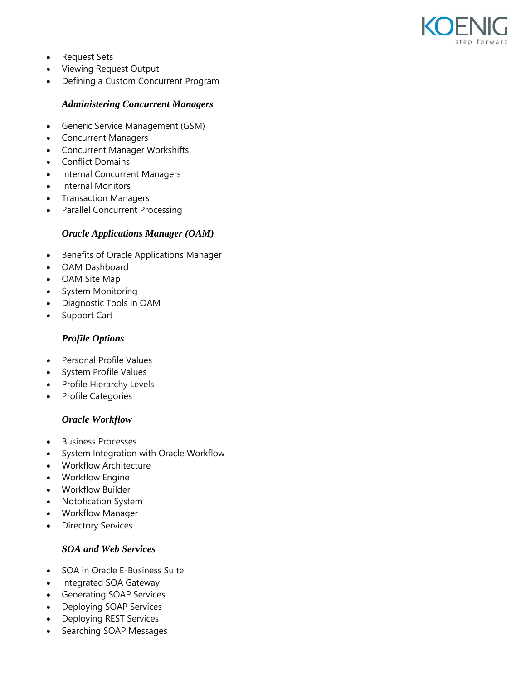

- Request Sets
- Viewing Request Output
- Defining a Custom Concurrent Program

#### *Administering Concurrent Managers*

- Generic Service Management (GSM)
- Concurrent Managers
- Concurrent Manager Workshifts
- Conflict Domains
- Internal Concurrent Managers
- Internal Monitors
- **•** Transaction Managers
- Parallel Concurrent Processing

#### *Oracle Applications Manager (OAM)*

- Benefits of Oracle Applications Manager
- OAM Dashboard
- OAM Site Map
- System Monitoring
- Diagnostic Tools in OAM
- Support Cart

#### *Profile Options*

- Personal Profile Values
- System Profile Values
- Profile Hierarchy Levels
- Profile Categories

#### *Oracle Workflow*

- Business Processes
- System Integration with Oracle Workflow
- Workflow Architecture
- Workflow Engine
- Workflow Builder
- Notofication System
- Workflow Manager
- Directory Services

# *SOA and Web Services*

- SOA in Oracle E-Business Suite
- Integrated SOA Gateway
- Generating SOAP Services
- Deploying SOAP Services
- Deploying REST Services
- Searching SOAP Messages